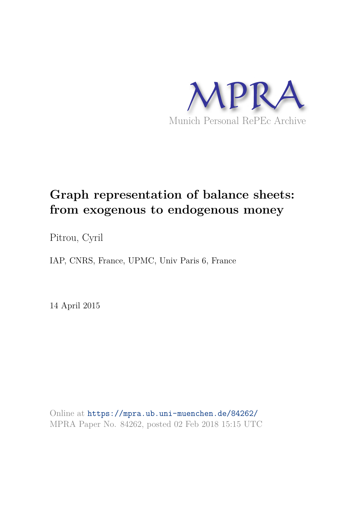

# **Graph representation of balance sheets: from exogenous to endogenous money**

Pitrou, Cyril

IAP, CNRS, France, UPMC, Univ Paris 6, France

14 April 2015

Online at https://mpra.ub.uni-muenchen.de/84262/ MPRA Paper No. 84262, posted 02 Feb 2018 15:15 UTC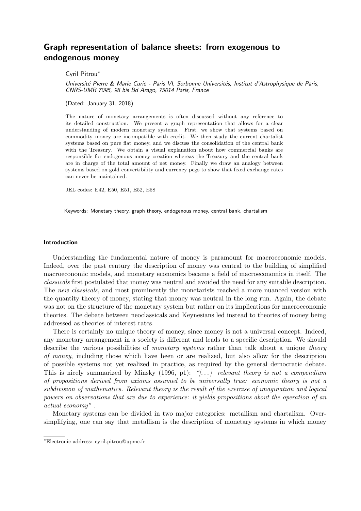# Graph representation of balance sheets: from exogenous to endogenous money

Cyril Pitrou<sup>∗</sup>

Université Pierre & Marie Curie - Paris VI, Sorbonne Universités, Institut d'Astrophysique de Paris, CNRS-UMR 7095, 98 bis Bd Arago, 75014 Paris, France

(Dated: January 31, 2018)

The nature of monetary arrangements is often discussed without any reference to its detailed construction. We present a graph representation that allows for a clear understanding of modern monetary systems. First, we show that systems based on commodity money are incompatible with credit. We then study the current chartalist systems based on pure fiat money, and we discuss the consolidation of the central bank with the Treasury. We obtain a visual explanation about how commercial banks are responsible for endogenous money creation whereas the Treasury and the central bank are in charge of the total amount of net money. Finally we draw an analogy between systems based on gold convertibility and currency pegs to show that fixed exchange rates can never be maintained.

JEL codes: E42, E50, E51, E52, E58

Keywords: Monetary theory, graph theory, endogenous money, central bank, chartalism

# Introduction

Understanding the fundamental nature of money is paramount for macroeconomic models. Indeed, over the past century the description of money was central to the building of simplified macroeconomic models, and monetary economics became a field of macroeconomics in itself. The classicals first postulated that money was neutral and avoided the need for any suitable description. The new classicals, and most prominently the monetarists reached a more nuanced version with the quantity theory of money, stating that money was neutral in the long run. Again, the debate was not on the structure of the monetary system but rather on its implications for macroeconomic theories. The debate between neoclassicals and Keynesians led instead to theories of money being addressed as theories of interest rates.

There is certainly no unique theory of money, since money is not a universal concept. Indeed, any monetary arrangement in a society is different and leads to a specific description. We should describe the various possibilities of *monetary systems* rather than talk about a unique *theory* of money, including those which have been or are realized, but also allow for the description of possible systems not yet realized in practice, as required by the general democratic debate. This is nicely summarized by Minsky  $(1996, p1)$ : "[...] relevant theory is not a compendium of propositions derived from axioms assumed to be universally true: economic theory is not a subdivision of mathematics. Relevant theory is the result of the exercise of imagination and logical powers on observations that are due to experience: it yields propositions about the operation of an actual economy" .

Monetary systems can be divided in two major categories: metallism and chartalism. Oversimplifying, one can say that metallism is the description of monetary systems in which money

<sup>∗</sup>Electronic address: cyril.pitrou@upmc.fr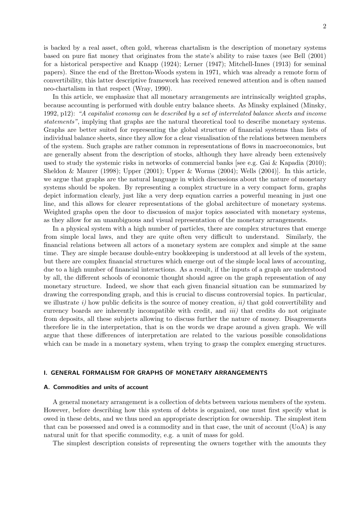is backed by a real asset, often gold, whereas chartalism is the description of monetary systems based on pure fiat money that originates from the state's ability to raise taxes (see Bell (2001) for a historical perspective and Knapp (1924); Lerner (1947); Mitchell-Innes (1913) for seminal papers). Since the end of the Bretton-Woods system in 1971, which was already a remote form of convertibility, this latter descriptive framework has received renewed attention and is often named neo-chartalism in that respect (Wray, 1990).

In this article, we emphasize that all monetary arrangements are intrinsically weighted graphs, because accounting is performed with double entry balance sheets. As Minsky explained (Minsky, 1992, p12): "A capitalist economy can be described by a set of interrelated balance sheets and income statements", implying that graphs are the natural theoretical tool to describe monetary systems. Graphs are better suited for representing the global structure of financial systems than lists of individual balance sheets, since they allow for a clear visualisation of the relations between members of the system. Such graphs are rather common in representations of flows in macroeconomics, but are generally absent from the description of stocks, although they have already been extensively used to study the systemic risks in networks of commercial banks [see e.g. Gai & Kapadia (2010); Sheldon & Maurer (1998); Upper (2001); Upper & Worms (2004); Wells (2004)]. In this article, we argue that graphs are the natural language in which discussions about the nature of monetary systems should be spoken. By representing a complex structure in a very compact form, graphs depict information clearly, just like a very deep equation carries a powerful meaning in just one line, and this allows for clearer representations of the global architecture of monetary systems. Weighted graphs open the door to discussion of major topics associated with monetary systems, as they allow for an unambiguous and visual representation of the monetary arrangements.

In a physical system with a high number of particles, there are complex structures that emerge from simple local laws, and they are quite often very difficult to understand. Similarly, the financial relations between all actors of a monetary system are complex and simple at the same time. They are simple because double-entry bookkeeping is understood at all levels of the system, but there are complex financial structures which emerge out of the simple local laws of accounting, due to a high number of financial interactions. As a result, if the inputs of a graph are understood by all, the different schools of economic thought should agree on the graph representation of any monetary structure. Indeed, we show that each given financial situation can be summarized by drawing the corresponding graph, and this is crucial to discuss controversial topics. In particular, we illustrate i) how public deficits is the source of money creation, ii) that gold convertibility and currency boards are inherently incompatible with credit, and *iii*) that credits do not originate from deposits, all these subjects allowing to discuss further the nature of money. Disagreements therefore lie in the interpretation, that is on the words we drape around a given graph. We will argue that these differences of interpretation are related to the various possible consolidations which can be made in a monetary system, when trying to grasp the complex emerging structures.

#### I. GENERAL FORMALISM FOR GRAPHS OF MONETARY ARRANGEMENTS

# A. Commodities and units of account

A general monetary arrangement is a collection of debts between various members of the system. However, before describing how this system of debts is organized, one must first specify what is owed in these debts, and we thus need an appropriate description for ownership. The simplest item that can be possessed and owed is a commodity and in that case, the unit of account (UoA) is any natural unit for that specific commodity, e.g. a unit of mass for gold.

The simplest description consists of representing the owners together with the amounts they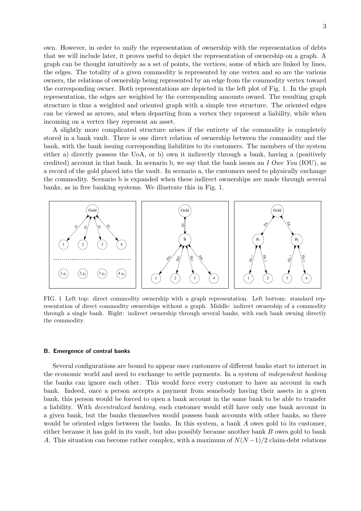own. However, in order to unify the representation of ownership with the representation of debts that we will include later, it proves useful to depict the representation of ownership on a graph. A graph can be thought intuitively as a set of points, the vertices, some of which are linked by lines, the edges. The totality of a given commodity is represented by one vertex and so are the various owners, the relations of ownership being represented by an edge from the commodity vertex toward the corresponding owner. Both representations are depicted in the left plot of Fig. 1. In the graph representation, the edges are weighted by the corresponding amounts owned. The resulting graph structure is thus a weighted and oriented graph with a simple tree structure. The oriented edges can be viewed as arrows, and when departing from a vertex they represent a liability, while when incoming on a vertex they represent an asset.

A slightly more complicated structure arises if the entirety of the commodity is completely stored in a bank vault. There is one direct relation of ownership between the commodity and the bank, with the bank issuing corresponding liabilities to its customers. The members of the system either a) directly possess the UoA, or b) own it indirectly through a bank, having a (positively credited) account in that bank. In scenario b, we say that the bank issues an I Owe You (IOU), as a record of the gold placed into the vault. In scenario a, the customers need to physically exchange the commodity. Scenario b is expanded when these indirect ownerships are made through several banks, as in free banking systems. We illustrate this in Fig. 1.



FIG. 1 Left top: direct commodity ownership with a graph representation. Left bottom: standard representation of direct commodity ownerships without a graph. Middle: indirect ownership of a commodity through a single bank. Right: indirect ownership through several banks, with each bank owning directly the commodity.

#### B. Emergence of central banks

Several configurations are bound to appear once customers of different banks start to interact in the economic world and need to exchange to settle payments. In a system of independent banking the banks can ignore each other. This would force every customer to have an account in each bank. Indeed, once a person accepts a payment from somebody having their assets in a given bank, this person would be forced to open a bank account in the same bank to be able to transfer a liability. With decentralized banking, each customer would still have only one bank account in a given bank, but the banks themselves would possess bank accounts with other banks, so there would be oriented edges between the banks. In this system, a bank A owes gold to its customer, either because it has gold in its vault, but also possibly because another bank B owes gold to bank A. This situation can become rather complex, with a maximum of  $N(N-1)/2$  claim-debt relations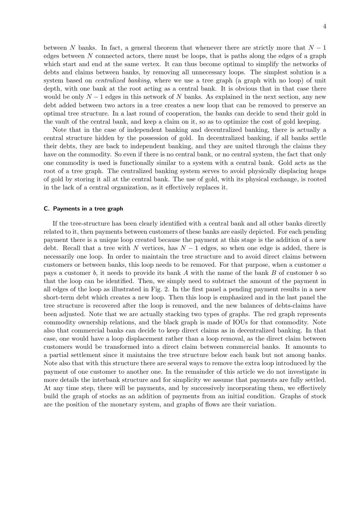between N banks. In fact, a general theorem that whenever there are strictly more that  $N-1$ edges between  $N$  connected actors, there must be loops, that is paths along the edges of a graph which start and end at the same vertex. It can thus become optimal to simplify the networks of debts and claims between banks, by removing all unnecessary loops. The simplest solution is a system based on *centralized banking*, where we use a tree graph (a graph with no loop) of unit depth, with one bank at the root acting as a central bank. It is obvious that in that case there would be only  $N-1$  edges in this network of N banks. As explained in the next section, any new debt added between two actors in a tree creates a new loop that can be removed to preserve an optimal tree structure. In a last round of cooperation, the banks can decide to send their gold in the vault of the central bank, and keep a claim on it, so as to optimize the cost of gold keeping.

Note that in the case of independent banking and decentralized banking, there is actually a central structure hidden by the possession of gold. In decentralized banking, if all banks settle their debts, they are back to independent banking, and they are united through the claims they have on the commodity. So even if there is no central bank, or no central system, the fact that only one commodity is used is functionally similar to a system with a central bank. Gold acts as the root of a tree graph. The centralized banking system serves to avoid physically displacing heaps of gold by storing it all at the central bank. The use of gold, with its physical exchange, is rooted in the lack of a central organization, as it effectively replaces it.

# C. Payments in a tree graph

If the tree-structure has been clearly identified with a central bank and all other banks directly related to it, then payments between customers of these banks are easily depicted. For each pending payment there is a unique loop created because the payment at this stage is the addition of a new debt. Recall that a tree with N vertices, has  $N-1$  edges, so when one edge is added, there is necessarily one loop. In order to maintain the tree structure and to avoid direct claims between customers or between banks, this loop needs to be removed. For that purpose, when a customer a pays a customer b, it needs to provide its bank A with the name of the bank  $B$  of customer  $b$  so that the loop can be identified. Then, we simply need to subtract the amount of the payment in all edges of the loop as illustrated in Fig. 2. In the first panel a pending payment results in a new short-term debt which creates a new loop. Then this loop is emphasized and in the last panel the tree structure is recovered after the loop is removed, and the new balances of debts-claims have been adjusted. Note that we are actually stacking two types of graphs. The red graph represents commodity ownership relations, and the black graph is made of IOUs for that commodity. Note also that commercial banks can decide to keep direct claims as in decentralized banking. In that case, one would have a loop displacement rather than a loop removal, as the direct claim between customers would be transformed into a direct claim between commercial banks. It amounts to a partial settlement since it maintains the tree structure below each bank but not among banks. Note also that with this structure there are several ways to remove the extra loop introduced by the payment of one customer to another one. In the remainder of this article we do not investigate in more details the interbank structure and for simplicity we assume that payments are fully settled. At any time step, there will be payments, and by successively incorporating them, we effectively build the graph of stocks as an addition of payments from an initial condition. Graphs of stock are the position of the monetary system, and graphs of flows are their variation.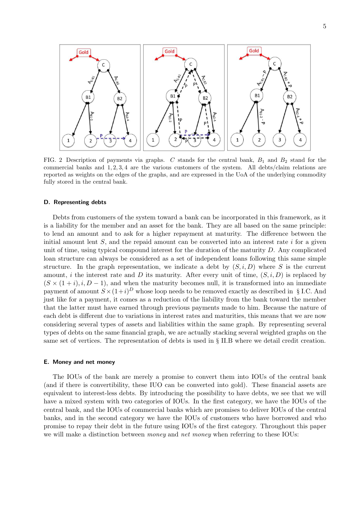

FIG. 2 Description of payments via graphs. C stands for the central bank,  $B_1$  and  $B_2$  stand for the commercial banks and  $1, 2, 3, 4$  are the various customers of the system. All debts/claim relations are reported as weights on the edges of the graphs, and are expressed in the UoA of the underlying commodity fully stored in the central bank.

#### D. Representing debts

Debts from customers of the system toward a bank can be incorporated in this framework, as it is a liability for the member and an asset for the bank. They are all based on the same principle: to lend an amount and to ask for a higher repayment at maturity. The difference between the initial amount lent  $S$ , and the repaid amount can be converted into an interest rate  $i$  for a given unit of time, using typical compound interest for the duration of the maturity D. Any complicated loan structure can always be considered as a set of independent loans following this same simple structure. In the graph representation, we indicate a debt by  $(S, i, D)$  where S is the current amount, i the interest rate and D its maturity. After every unit of time,  $(S, i, D)$  is replaced by  $(S \times (1+i), i, D-1)$ , and when the maturity becomes null, it is transformed into an immediate payment of amount  $S \times (1+i)^D$  whose loop needs to be removed exactly as described in § I.C. And just like for a payment, it comes as a reduction of the liability from the bank toward the member that the latter must have earned through previous payments made to him. Because the nature of each debt is different due to variations in interest rates and maturities, this means that we are now considering several types of assets and liabilities within the same graph. By representing several types of debts on the same financial graph, we are actually stacking several weighted graphs on the same set of vertices. The representation of debts is used in § II.B where we detail credit creation.

#### E. Money and net money

The IOUs of the bank are merely a promise to convert them into IOUs of the central bank (and if there is convertibility, these IUO can be converted into gold). These financial assets are equivalent to interest-less debts. By introducing the possibility to have debts, we see that we will have a mixed system with two categories of IOUs. In the first category, we have the IOUs of the central bank, and the IOUs of commercial banks which are promises to deliver IOUs of the central banks, and in the second category we have the IOUs of customers who have borrowed and who promise to repay their debt in the future using IOUs of the first category. Throughout this paper we will make a distinction between *money* and *net money* when referring to these IOUs: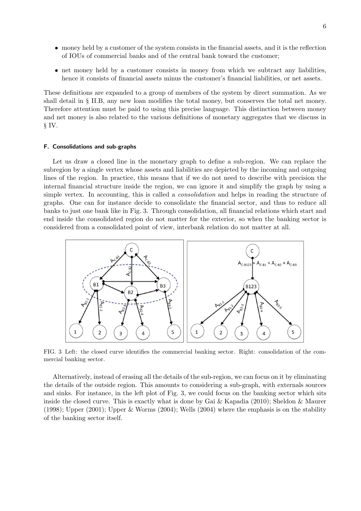- money held by a customer of the system consists in the financial assets, and it is the reflection of IOUs of commercial banks and of the central bank toward the customer;
- net money held by a customer consists in money from which we subtract any liabilities, hence it consists of financial assets minus the customer's financial liabilities, or net assets.

These definitions are expanded to a group of members of the system by direct summation. As we shall detail in § II.B, any new loan modifies the total money, but conserves the total net money. Therefore attention must be paid to using this precise language. This distinction between money and net money is also related to the various definitions of monetary aggregates that we discuss in § IV.

# F. Consolidations and sub-graphs

Let us draw a closed line in the monetary graph to define a sub-region. We can replace the subregion by a single vertex whose assets and liabilities are depicted by the incoming and outgoing lines of the region. In practice, this means that if we do not need to describe with precision the internal financial structure inside the region, we can ignore it and simplify the graph by using a simple vertex. In accounting, this is called a consolidation and helps in reading the structure of graphs. One can for instance decide to consolidate the financial sector, and thus to reduce all banks to just one bank like in Fig. 3. Through consolidation, all financial relations which start and end inside the consolidated region do not matter for the exterior, so when the banking sector is considered from a consolidated point of view, interbank relation do not matter at all.



FIG. 3 Left: the closed curve identifies the commercial banking sector. Right: consolidation of the commercial banking sector.

Alternatively, instead of erasing all the details of the sub-region, we can focus on it by eliminating the details of the outside region. This amounts to considering a sub-graph, with externals sources and sinks. For instance, in the left plot of Fig. 3, we could focus on the banking sector which sits inside the closed curve. This is exactly what is done by Gai & Kapadia (2010); Sheldon & Maurer (1998); Upper (2001); Upper & Worms (2004); Wells (2004) where the emphasis is on the stability of the banking sector itself.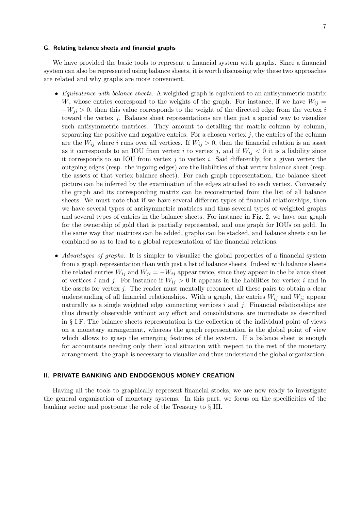# G. Relating balance sheets and financial graphs

We have provided the basic tools to represent a financial system with graphs. Since a financial system can also be represented using balance sheets, it is worth discussing why these two approaches are related and why graphs are more convenient.

- Equivalence with balance sheets. A weighted graph is equivalent to an antisymmetric matrix W, whose entries correspond to the weights of the graph. For instance, if we have  $W_{ij} =$  $-V_{ii} > 0$ , then this value corresponds to the weight of the directed edge from the vertex i toward the vertex j. Balance sheet representations are then just a special way to visualize such antisymmetric matrices. They amount to detailing the matrix column by column, separating the positive and negative entries. For a chosen vertex  $j$ , the entries of the column are the  $W_{ij}$  where i runs over all vertices. If  $W_{ij} > 0$ , then the financial relation is an asset as it corresponds to an IOU from vertex i to vertex j, and if  $W_{ij} < 0$  it is a liability since it corresponds to an IOU from vertex  $j$  to vertex  $i$ . Said differently, for a given vertex the outgoing edges (resp. the ingoing edges) are the liabilities of that vertex balance sheet (resp. the assets of that vertex balance sheet). For each graph representation, the balance sheet picture can be inferred by the examination of the edges attached to each vertex. Conversely the graph and its corresponding matrix can be reconstructed from the list of all balance sheets. We must note that if we have several different types of financial relationships, then we have several types of antisymmetric matrices and thus several types of weighted graphs and several types of entries in the balance sheets. For instance in Fig. 2, we have one graph for the ownership of gold that is partially represented, and one graph for IOUs on gold. In the same way that matrices can be added, graphs can be stacked, and balance sheets can be combined so as to lead to a global representation of the financial relations.
- Advantages of graphs. It is simpler to visualize the global properties of a financial system from a graph representation than with just a list of balance sheets. Indeed with balance sheets the related entries  $W_{ij}$  and  $W_{ji} = -W_{ij}$  appear twice, since they appear in the balance sheet of vertices i and j. For instance if  $W_{ij} > 0$  it appears in the liabilities for vertex i and in the assets for vertex  $j$ . The reader must mentally reconnect all these pairs to obtain a clear understanding of all financial relationships. With a graph, the entries  $W_{ij}$  and  $W_{ji}$  appear naturally as a single weighted edge connecting vertices  $i$  and  $j$ . Financial relationships are thus directly observable without any effort and consolidations are immediate as described in § I.F. The balance sheets representation is the collection of the individual point of views on a monetary arrangement, whereas the graph representation is the global point of view which allows to grasp the emerging features of the system. If a balance sheet is enough for accountants needing only their local situation with respect to the rest of the monetary arrangement, the graph is necessary to visualize and thus understand the global organization.

# II. PRIVATE BANKING AND ENDOGENOUS MONEY CREATION

Having all the tools to graphically represent financial stocks, we are now ready to investigate the general organisation of monetary systems. In this part, we focus on the specificities of the banking sector and postpone the role of the Treasury to § III.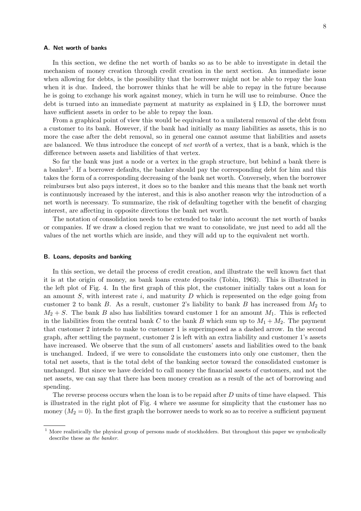#### A. Net worth of banks

In this section, we define the net worth of banks so as to be able to investigate in detail the mechanism of money creation through credit creation in the next section. An immediate issue when allowing for debts, is the possibility that the borrower might not be able to repay the loan when it is due. Indeed, the borrower thinks that he will be able to repay in the future because he is going to exchange his work against money, which in turn he will use to reimburse. Once the debt is turned into an immediate payment at maturity as explained in  $\S$  I.D, the borrower must have sufficient assets in order to be able to repay the loan.

From a graphical point of view this would be equivalent to a unilateral removal of the debt from a customer to its bank. However, if the bank had initially as many liabilities as assets, this is no more the case after the debt removal, so in general one cannot assume that liabilities and assets are balanced. We thus introduce the concept of net worth of a vertex, that is a bank, which is the difference between assets and liabilities of that vertex.

So far the bank was just a node or a vertex in the graph structure, but behind a bank there is a banker<sup>1</sup>. If a borrower defaults, the banker should pay the corresponding debt for him and this takes the form of a corresponding decreasing of the bank net worth. Conversely, when the borrower reimburses but also pays interest, it does so to the banker and this means that the bank net worth is continuously increased by the interest, and this is also another reason why the introduction of a net worth is necessary. To summarize, the risk of defaulting together with the benefit of charging interest, are affecting in opposite directions the bank net worth.

The notation of consolidation needs to be extended to take into account the net worth of banks or companies. If we draw a closed region that we want to consolidate, we just need to add all the values of the net worths which are inside, and they will add up to the equivalent net worth.

#### B. Loans, deposits and banking

In this section, we detail the process of credit creation, and illustrate the well known fact that it is at the origin of money, as bank loans create deposits (Tobin, 1963). This is illustrated in the left plot of Fig. 4. In the first graph of this plot, the customer initially takes out a loan for an amount  $S$ , with interest rate  $i$ , and maturity  $D$  which is represented on the edge going from customer 2 to bank B. As a result, customer 2's liability to bank B has increased from  $M_2$  to  $M_2 + S$ . The bank B also has liabilities toward customer 1 for an amount  $M_1$ . This is reflected in the liabilities from the central bank C to the bank B which sum up to  $M_1 + M_2$ . The payment that customer 2 intends to make to customer 1 is superimposed as a dashed arrow. In the second graph, after settling the payment, customer 2 is left with an extra liability and customer 1's assets have increased. We observe that the sum of all customers' assets and liabilities owed to the bank is unchanged. Indeed, if we were to consolidate the customers into only one customer, then the total net assets, that is the total debt of the banking sector toward the consolidated customer is unchanged. But since we have decided to call money the financial assets of customers, and not the net assets, we can say that there has been money creation as a result of the act of borrowing and spending.

The reverse process occurs when the loan is to be repaid after  $D$  units of time have elapsed. This is illustrated in the right plot of Fig. 4 where we assume for simplicity that the customer has no money  $(M_2 = 0)$ . In the first graph the borrower needs to work so as to receive a sufficient payment

 $1$  More realistically the physical group of persons made of stockholders. But throughout this paper we symbolically describe these as the banker.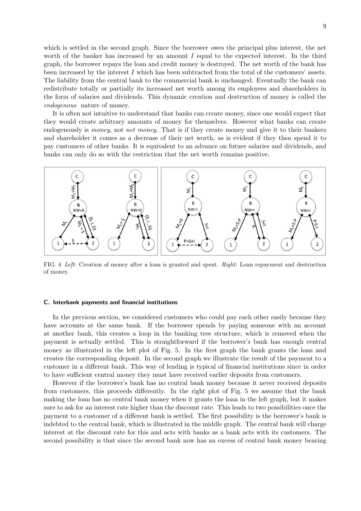which is settled in the second graph. Since the borrower owes the principal plus interest, the net worth of the banker has increased by an amount  $I$  equal to the expected interest. In the third graph, the borrower repays the loan and credit money is destroyed. The net worth of the bank has been increased by the interest I which has been subtracted from the total of the customers' assets. The liability from the central bank to the commercial bank is unchanged. Eventually the bank can redistribute totally or partially its increased net worth among its employees and shareholders in the form of salaries and dividends. This dynamic creation and destruction of money is called the endogenous nature of money.

It is often not intuitive to understand that banks can create money, since one would expect that they would create arbitrary amounts of money for themselves. However what banks can create endogenously is *money*, not *net money*. That is if they create money and give it to their bankers and shareholder it comes as a decrease of their net worth, as is evident if they then spend it to pay customers of other banks. It is equivalent to an advance on future salaries and dividends, and banks can only do so with the restriction that the net worth remains positive.



FIG. 4 Left: Creation of money after a loan is granted and spent. Right: Loan repayment and destruction of money.

# C. Interbank payments and financial institutions

In the previous section, we considered customers who could pay each other easily because they have accounts at the same bank. If the borrower spends by paying someone with an account at another bank, this creates a loop in the banking tree structure, which is removed when the payment is actually settled. This is straightforward if the borrower's bank has enough central money as illustrated in the left plot of Fig. 5. In the first graph the bank grants the loan and creates the corresponding deposit. In the second graph we illustrate the result of the payment to a customer in a different bank. This way of lending is typical of financial institutions since in order to have sufficient central money they must have received earlier deposits from customers.

However if the borrower's bank has no central bank money because it never received deposits from customers, this proceeds differently. In the right plot of Fig. 5 we assume that the bank making the loan has no central bank money when it grants the loan in the left graph, but it makes sure to ask for an interest rate higher than the discount rate. This leads to two possibilities once the payment to a customer of a different bank is settled. The first possibility is the borrower's bank is indebted to the central bank, which is illustrated in the middle graph. The central bank will charge interest at the discount rate for this and acts with banks as a bank acts with its customers. The second possibility is that since the second bank now has an excess of central bank money bearing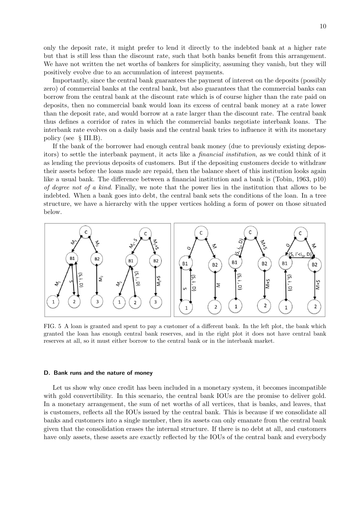only the deposit rate, it might prefer to lend it directly to the indebted bank at a higher rate but that is still less than the discount rate, such that both banks benefit from this arrangement. We have not written the net worths of bankers for simplicity, assuming they vanish, but they will positively evolve due to an accumulation of interest payments.

Importantly, since the central bank guarantees the payment of interest on the deposits (possibly zero) of commercial banks at the central bank, but also guarantees that the commercial banks can borrow from the central bank at the discount rate which is of course higher than the rate paid on deposits, then no commercial bank would loan its excess of central bank money at a rate lower than the deposit rate, and would borrow at a rate larger than the discount rate. The central bank thus defines a corridor of rates in which the commercial banks negotiate interbank loans. The interbank rate evolves on a daily basis and the central bank tries to influence it with its monetary policy (see § III.B).

If the bank of the borrower had enough central bank money (due to previously existing depositors) to settle the interbank payment, it acts like a financial institution, as we could think of it as lending the previous deposits of customers. But if the depositing customers decide to withdraw their assets before the loans made are repaid, then the balance sheet of this institution looks again like a usual bank. The difference between a financial institution and a bank is (Tobin, 1963, p10) of degree not of a kind. Finally, we note that the power lies in the institution that allows to be indebted. When a bank goes into debt, the central bank sets the conditions of the loan. In a tree structure, we have a hierarchy with the upper vertices holding a form of power on those situated below.



FIG. 5 A loan is granted and spent to pay a customer of a different bank. In the left plot, the bank which granted the loan has enough central bank reserves, and in the right plot it does not have central bank reserves at all, so it must either borrow to the central bank or in the interbank market.

#### D. Bank runs and the nature of money

Let us show why once credit has been included in a monetary system, it becomes incompatible with gold convertibility. In this scenario, the central bank IOUs are the promise to deliver gold. In a monetary arrangement, the sum of net worths of all vertices, that is banks, and leaves, that is customers, reflects all the IOUs issued by the central bank. This is because if we consolidate all banks and customers into a single member, then its assets can only emanate from the central bank given that the consolidation erases the internal structure. If there is no debt at all, and customers have only assets, these assets are exactly reflected by the IOUs of the central bank and everybody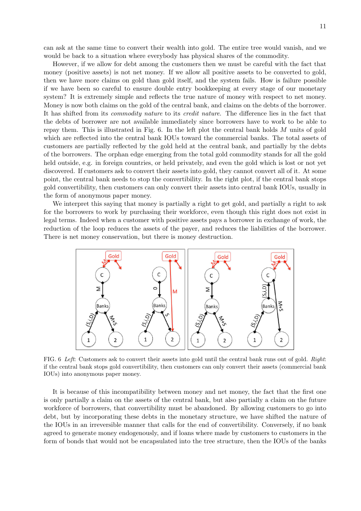can ask at the same time to convert their wealth into gold. The entire tree would vanish, and we would be back to a situation where everybody has physical shares of the commodity.

However, if we allow for debt among the customers then we must be careful with the fact that money (positive assets) is not net money. If we allow all positive assets to be converted to gold, then we have more claims on gold than gold itself, and the system fails. How is failure possible if we have been so careful to ensure double entry bookkeeping at every stage of our monetary system? It is extremely simple and reflects the true nature of money with respect to net money. Money is now both claims on the gold of the central bank, and claims on the debts of the borrower. It has shifted from its commodity nature to its credit nature. The difference lies in the fact that the debts of borrower are not available immediately since borrowers have to work to be able to repay them. This is illustrated in Fig. 6. In the left plot the central bank holds  $M$  units of gold which are reflected into the central bank IOUs toward the commercial banks. The total assets of customers are partially reflected by the gold held at the central bank, and partially by the debts of the borrowers. The orphan edge emerging from the total gold commodity stands for all the gold held outside, e.g. in foreign countries, or held privately, and even the gold which is lost or not yet discovered. If customers ask to convert their assets into gold, they cannot convert all of it. At some point, the central bank needs to stop the convertibility. In the right plot, if the central bank stops gold convertibility, then customers can only convert their assets into central bank IOUs, usually in the form of anonymous paper money.

We interpret this saying that money is partially a right to get gold, and partially a right to ask for the borrowers to work by purchasing their workforce, even though this right does not exist in legal terms. Indeed when a customer with positive assets pays a borrower in exchange of work, the reduction of the loop reduces the assets of the payer, and reduces the liabilities of the borrower. There is net money conservation, but there is money destruction.



FIG. 6 Left: Customers ask to convert their assets into gold until the central bank runs out of gold. Right: if the central bank stops gold convertibility, then customers can only convert their assets (commercial bank IOUs) into anonymous paper money.

It is because of this incompatibility between money and net money, the fact that the first one is only partially a claim on the assets of the central bank, but also partially a claim on the future workforce of borrowers, that convertibility must be abandoned. By allowing customers to go into debt, but by incorporating these debts in the monetary structure, we have shifted the nature of the IOUs in an irreversible manner that calls for the end of convertibility. Conversely, if no bank agreed to generate money endogenously, and if loans where made by customers to customers in the form of bonds that would not be encapsulated into the tree structure, then the IOUs of the banks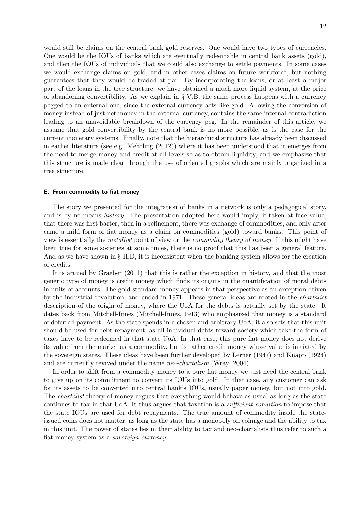would still be claims on the central bank gold reserves. One would have two types of currencies. One would be the IOUs of banks which are eventually redeemable in central bank assets (gold), and then the IOUs of individuals that we could also exchange to settle payments. In some cases we would exchange claims on gold, and in other cases claims on future workforce, but nothing guarantees that they would be traded at par. By incorporating the loans, or at least a major part of the loans in the tree structure, we have obtained a much more liquid system, at the price of abandoning convertibility. As we explain in  $\S \text{V.B.}$  the same process happens with a currency pegged to an external one, since the external currency acts like gold. Allowing the conversion of money instead of just net money in the external currency, contains the same internal contradiction leading to an unavoidable breakdown of the currency peg. In the remainder of this article, we assume that gold convertibility by the central bank is no more possible, as is the case for the current monetary systems. Finally, note that the hierarchical structure has already been discussed in earlier literature (see e.g. Mehrling (2012)) where it has been understood that it emerges from the need to merge money and credit at all levels so as to obtain liquidity, and we emphasize that this structure is made clear through the use of oriented graphs which are mainly organized in a tree structure.

#### E. From commodity to fiat money

The story we presented for the integration of banks in a network is only a pedagogical story, and is by no means history. The presentation adopted here would imply, if taken at face value, that there was first barter, then in a refinement, there was exchange of commodities, and only after came a mild form of fiat money as a claim on commodities (gold) toward banks. This point of view is essentially the metallist point of view or the commodity theory of money. If this might have been true for some societies at some times, there is no proof that this has been a general feature. And as we have shown in § II.D, it is inconsistent when the banking system allows for the creation of credits.

It is argued by Graeber (2011) that this is rather the exception in history, and that the most generic type of money is credit money which finds its origins in the quantification of moral debts in units of accounts. The gold standard money appears in that perspective as an exception driven by the industrial revolution, and ended in 1971. These general ideas are rooted in the chartalist description of the origin of money, where the UoA for the debts is actually set by the state. It dates back from Mitchell-Innes (Mitchell-Innes, 1913) who emphasized that money is a standard of deferred payment. As the state spends in a chosen and arbitrary UoA, it also sets that this unit should be used for debt repayment, as all individual debts toward society which take the form of taxes have to be redeemed in that state UoA. In that case, this pure fiat money does not derive its value from the market as a commodity, but is rather credit money whose value is initiated by the sovereign states. These ideas have been further developed by Lerner (1947) and Knapp (1924) and are currently revived under the name neo-chartalism (Wray, 2004).

In order to shift from a commodity money to a pure fiat money we just need the central bank to give up on its commitment to convert its IOUs into gold. In that case, any customer can ask for its assets to be converted into central bank's IOUs, usually paper money, but not into gold. The chartalist theory of money argues that everything would behave as usual as long as the state continues to tax in that UoA. It thus argues that taxation is a sufficient condition to impose that the state IOUs are used for debt repayments. The true amount of commodity inside the stateissued coins does not matter, as long as the state has a monopoly on coinage and the ability to tax in this unit. The power of states lies in their ability to tax and neo-chartalists thus refer to such a fiat money system as a sovereign currency.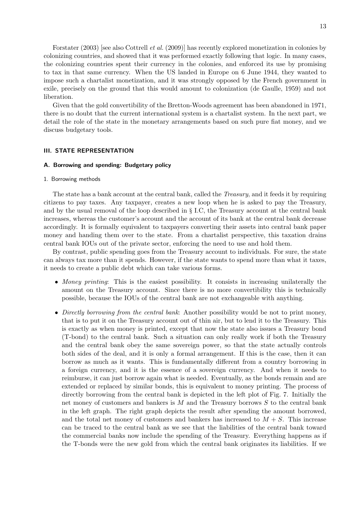Forstater (2003) [see also Cottrell *et al.* (2009)] has recently explored monetization in colonies by colonizing countries, and showed that it was performed exactly following that logic. In many cases, the colonizing countries spent their currency in the colonies, and enforced its use by promising to tax in that same currency. When the US landed in Europe on 6 June 1944, they wanted to impose such a chartalist monetization, and it was strongly opposed by the French government in exile, precisely on the ground that this would amount to colonization (de Gaulle, 1959) and not liberation.

Given that the gold convertibility of the Bretton-Woods agreement has been abandoned in 1971, there is no doubt that the current international system is a chartalist system. In the next part, we detail the role of the state in the monetary arrangements based on such pure fiat money, and we discuss budgetary tools.

# III. STATE REPRESENTATION

#### A. Borrowing and spending: Budgetary policy

#### 1. Borrowing methods

The state has a bank account at the central bank, called the *Treasury*, and it feeds it by requiring citizens to pay taxes. Any taxpayer, creates a new loop when he is asked to pay the Treasury, and by the usual removal of the loop described in § I.C, the Treasury account at the central bank increases, whereas the customer's account and the account of its bank at the central bank decrease accordingly. It is formally equivalent to taxpayers converting their assets into central bank paper money and handing them over to the state. From a chartalist perspective, this taxation drains central bank IOUs out of the private sector, enforcing the need to use and hold them.

By contrast, public spending goes from the Treasury account to individuals. For sure, the state can always tax more than it spends. However, if the state wants to spend more than what it taxes, it needs to create a public debt which can take various forms.

- Money printing: This is the easiest possibility. It consists in increasing unilaterally the amount on the Treasury account. Since there is no more convertibility this is technically possible, because the IOUs of the central bank are not exchangeable with anything.
- Directly borrowing from the central bank: Another possibility would be not to print money, that is to put it on the Treasury account out of thin air, but to lend it to the Treasury. This is exactly as when money is printed, except that now the state also issues a Treasury bond (T-bond) to the central bank. Such a situation can only really work if both the Treasury and the central bank obey the same sovereign power, so that the state actually controls both sides of the deal, and it is only a formal arrangement. If this is the case, then it can borrow as much as it wants. This is fundamentally different from a country borrowing in a foreign currency, and it is the essence of a sovereign currency. And when it needs to reimburse, it can just borrow again what is needed. Eventually, as the bonds remain and are extended or replaced by similar bonds, this is equivalent to money printing. The process of directly borrowing from the central bank is depicted in the left plot of Fig. 7. Initially the net money of customers and bankers is M and the Treasury borrows S to the central bank in the left graph. The right graph depicts the result after spending the amount borrowed, and the total net money of customers and bankers has increased to  $M + S$ . This increase can be traced to the central bank as we see that the liabilities of the central bank toward the commercial banks now include the spending of the Treasury. Everything happens as if the T-bonds were the new gold from which the central bank originates its liabilities. If we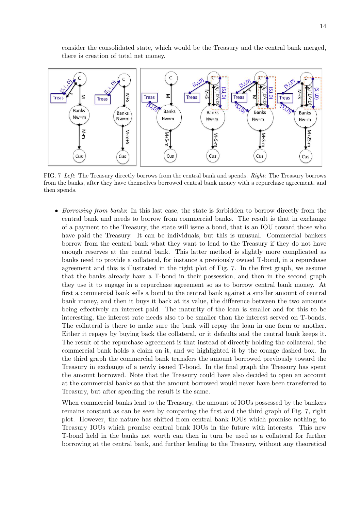consider the consolidated state, which would be the Treasury and the central bank merged, there is creation of total net money.



FIG. 7 Left: The Treasury directly borrows from the central bank and spends. Right: The Treasury borrows from the banks, after they have themselves borrowed central bank money with a repurchase agreement, and then spends.

• Borrowing from banks: In this last case, the state is forbidden to borrow directly from the central bank and needs to borrow from commercial banks. The result is that in exchange of a payment to the Treasury, the state will issue a bond, that is an IOU toward those who have paid the Treasury. It can be individuals, but this is unusual. Commercial bankers borrow from the central bank what they want to lend to the Treasury if they do not have enough reserves at the central bank. This latter method is slightly more complicated as banks need to provide a collateral, for instance a previously owned T-bond, in a repurchase agreement and this is illustrated in the right plot of Fig. 7. In the first graph, we assume that the banks already have a T-bond in their possession, and then in the second graph they use it to engage in a repurchase agreement so as to borrow central bank money. At first a commercial bank sells a bond to the central bank against a smaller amount of central bank money, and then it buys it back at its value, the difference between the two amounts being effectively an interest paid. The maturity of the loan is smaller and for this to be interesting, the interest rate needs also to be smaller than the interest served on T-bonds. The collateral is there to make sure the bank will repay the loan in one form or another. Either it repays by buying back the collateral, or it defaults and the central bank keeps it. The result of the repurchase agreement is that instead of directly holding the collateral, the commercial bank holds a claim on it, and we highlighted it by the orange dashed box. In the third graph the commercial bank transfers the amount borrowed previously toward the Treasury in exchange of a newly issued T-bond. In the final graph the Treasury has spent the amount borrowed. Note that the Treasury could have also decided to open an account at the commercial banks so that the amount borrowed would never have been transferred to Treasury, but after spending the result is the same.

When commercial banks lend to the Treasury, the amount of IOUs possessed by the bankers remains constant as can be seen by comparing the first and the third graph of Fig. 7, right plot. However, the nature has shifted from central bank IOUs which promise nothing, to Treasury IOUs which promise central bank IOUs in the future with interests. This new T-bond held in the banks net worth can then in turn be used as a collateral for further borrowing at the central bank, and further lending to the Treasury, without any theoretical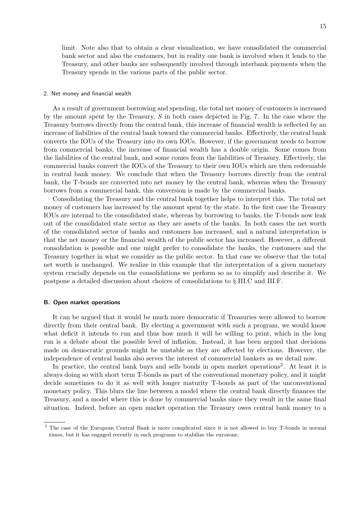limit. Note also that to obtain a clear visualization, we have consolidated the commercial bank sector and also the customers, but in reality one bank is involved when it lends to the Treasury, and other banks are subsequently involved through interbank payments when the Treasury spends in the various parts of the public sector.

#### 2. Net money and financial wealth

As a result of government borrowing and spending, the total net money of customers is increased by the amount spent by the Treasury,  $S$  in both cases depicted in Fig. 7. In the case where the Treasury borrows directly from the central bank, this increase of financial wealth is reflected by an increase of liabilities of the central bank toward the commercial banks. Effectively, the central bank converts the IOUs of the Treasury into its own IOUs. However, if the government needs to borrow from commercial banks, the increase of financial wealth has a double origin. Some comes from the liabilities of the central bank, and some comes from the liabilities of Treasury. Effectively, the commercial banks convert the IOUs of the Treasury to their own IOUs which are then redeemable in central bank money. We conclude that when the Treasury borrows directly from the central bank, the T-bonds are converted into net money by the central bank, whereas when the Treasury borrows from a commercial bank, this conversion is made by the commercial banks.

Consolidating the Treasury and the central bank together helps to interpret this. The total net money of customers has increased by the amount spent by the state. In the first case the Treasury IOUs are internal to the consolidated state, whereas by borrowing to banks, the T-bonds now leak out of the consolidated state sector as they are assets of the banks. In both cases the net worth of the consolidated sector of banks and customers has increased, and a natural interpretation is that the net money or the financial wealth of the public sector has increased. However, a different consolidation is possible and one might prefer to consolidate the banks, the customers and the Treasury together in what we consider as the public sector. In that case we observe that the total net worth is unchanged. We realize in this example that the interpretation of a given monetary system crucially depends on the consolidations we perform so as to simplify and describe it. We postpone a detailed discussion about choices of consolidations to § III.C and III.F.

#### B. Open market operations

It can be argued that it would be much more democratic if Treasuries were allowed to borrow directly from their central bank. By electing a government with such a program, we would know what deficit it intends to run and thus how much it will be willing to print, which in the long run is a debate about the possible level of inflation. Instead, it has been argued that decisions made on democratic grounds might be unstable as they are affected by elections. However, the independence of central banks also serves the interest of commercial bankers as we detail now.

In practice, the central bank buys and sells bonds in open market operations<sup>2</sup>. At least it is always doing so with short term T-bonds as part of the conventional monetary policy, and it might decide sometimes to do it as well with longer maturity T-bonds as part of the unconventional monetary policy. This blurs the line between a model where the central bank directly finances the Treasury, and a model where this is done by commercial banks since they result in the same final situation. Indeed, before an open market operation the Treasury owes central bank money to a

<sup>&</sup>lt;sup>2</sup> The case of the European Central Bank is more complicated since it is not allowed to buy T-bonds in normal times, but it has engaged recently in such programs to stabilize the eurozone.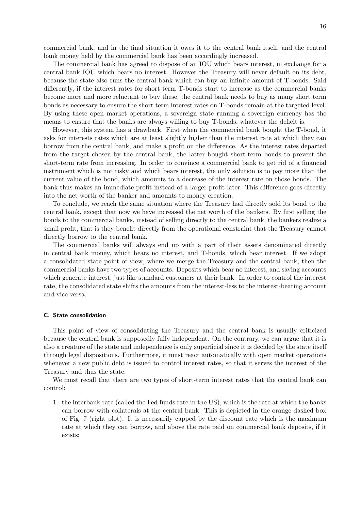commercial bank, and in the final situation it owes it to the central bank itself, and the central bank money held by the commercial bank has been accordingly increased.

The commercial bank has agreed to dispose of an IOU which bears interest, in exchange for a central bank IOU which bears no interest. However the Treasury will never default on its debt, because the state also runs the central bank which can buy an infinite amount of T-bonds. Said differently, if the interest rates for short term T-bonds start to increase as the commercial banks become more and more reluctant to buy these, the central bank needs to buy as many short term bonds as necessary to ensure the short term interest rates on T-bonds remain at the targeted level. By using these open market operations, a sovereign state running a sovereign currency has the means to ensure that the banks are always willing to buy T-bonds, whatever the deficit is.

However, this system has a drawback. First when the commercial bank bought the T-bond, it asks for interests rates which are at least slightly higher than the interest rate at which they can borrow from the central bank, and make a profit on the difference. As the interest rates departed from the target chosen by the central bank, the latter bought short-term bonds to prevent the short-term rate from increasing. In order to convince a commercial bank to get rid of a financial instrument which is not risky and which bears interest, the only solution is to pay more than the current value of the bond, which amounts to a decrease of the interest rate on those bonds. The bank thus makes an immediate profit instead of a larger profit later. This difference goes directly into the net worth of the banker and amounts to money creation.

To conclude, we reach the same situation where the Treasury had directly sold its bond to the central bank, except that now we have increased the net worth of the bankers. By first selling the bonds to the commercial banks, instead of selling directly to the central bank, the bankers realize a small profit, that is they benefit directly from the operational constraint that the Treasury cannot directly borrow to the central bank.

The commercial banks will always end up with a part of their assets denominated directly in central bank money, which bears no interest, and T-bonds, which bear interest. If we adopt a consolidated state point of view, where we merge the Treasury and the central bank, then the commercial banks have two types of accounts. Deposits which bear no interest, and saving accounts which generate interest, just like standard customers at their bank. In order to control the interest rate, the consolidated state shifts the amounts from the interest-less to the interest-bearing account and vice-versa.

# C. State consolidation

This point of view of consolidating the Treasury and the central bank is usually criticized because the central bank is supposedly fully independent. On the contrary, we can argue that it is also a creature of the state and independence is only superficial since it is decided by the state itself through legal dispositions. Furthermore, it must react automatically with open market operations whenever a new public debt is issued to control interest rates, so that it serves the interest of the Treasury and thus the state.

We must recall that there are two types of short-term interest rates that the central bank can control:

1. the interbank rate (called the Fed funds rate in the US), which is the rate at which the banks can borrow with collaterals at the central bank. This is depicted in the orange dashed box of Fig. 7 (right plot). It is necessarily capped by the discount rate which is the maximum rate at which they can borrow, and above the rate paid on commercial bank deposits, if it exists;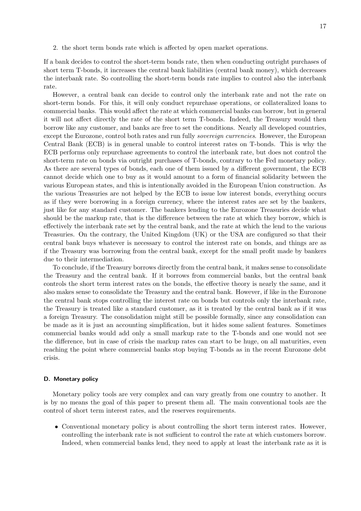2. the short term bonds rate which is affected by open market operations.

If a bank decides to control the short-term bonds rate, then when conducting outright purchases of short term T-bonds, it increases the central bank liabilities (central bank money), which decreases the interbank rate. So controlling the short-term bonds rate implies to control also the interbank rate.

However, a central bank can decide to control only the interbank rate and not the rate on short-term bonds. For this, it will only conduct repurchase operations, or collateralized loans to commercial banks. This would affect the rate at which commercial banks can borrow, but in general it will not affect directly the rate of the short term T-bonds. Indeed, the Treasury would then borrow like any customer, and banks are free to set the conditions. Nearly all developed countries, except the Eurozone, control both rates and run fully sovereign currencies. However, the European Central Bank (ECB) is in general unable to control interest rates on T-bonds. This is why the ECB performs only repurchase agreements to control the interbank rate, but does not control the short-term rate on bonds via outright purchases of T-bonds, contrary to the Fed monetary policy. As there are several types of bonds, each one of them issued by a different government, the ECB cannot decide which one to buy as it would amount to a form of financial solidarity between the various European states, and this is intentionally avoided in the European Union construction. As the various Treasuries are not helped by the ECB to issue low interest bonds, everything occurs as if they were borrowing in a foreign currency, where the interest rates are set by the bankers, just like for any standard customer. The bankers lending to the Eurozone Treasuries decide what should be the markup rate, that is the difference between the rate at which they borrow, which is effectively the interbank rate set by the central bank, and the rate at which the lend to the various Treasuries. On the contrary, the United Kingdom (UK) or the USA are configured so that their central bank buys whatever is necessary to control the interest rate on bonds, and things are as if the Treasury was borrowing from the central bank, except for the small profit made by bankers due to their intermediation.

To conclude, if the Treasury borrows directly from the central bank, it makes sense to consolidate the Treasury and the central bank. If it borrows from commercial banks, but the central bank controls the short term interest rates on the bonds, the effective theory is nearly the same, and it also makes sense to consolidate the Treasury and the central bank. However, if like in the Eurozone the central bank stops controlling the interest rate on bonds but controls only the interbank rate, the Treasury is treated like a standard customer, as it is treated by the central bank as if it was a foreign Treasury. The consolidation might still be possible formally, since any consolidation can be made as it is just an accounting simplification, but it hides some salient features. Sometimes commercial banks would add only a small markup rate to the T-bonds and one would not see the difference, but in case of crisis the markup rates can start to be huge, on all maturities, even reaching the point where commercial banks stop buying T-bonds as in the recent Eurozone debt crisis.

#### D. Monetary policy

Monetary policy tools are very complex and can vary greatly from one country to another. It is by no means the goal of this paper to present them all. The main conventional tools are the control of short term interest rates, and the reserves requirements.

• Conventional monetary policy is about controlling the short term interest rates. However, controlling the interbank rate is not sufficient to control the rate at which customers borrow. Indeed, when commercial banks lend, they need to apply at least the interbank rate as it is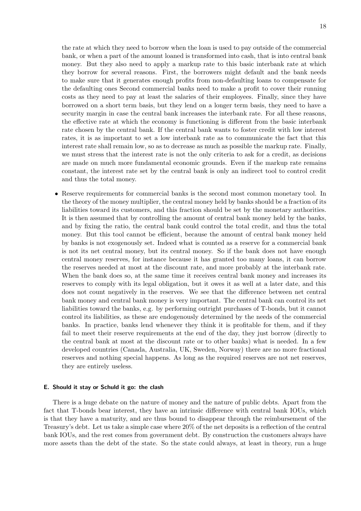the rate at which they need to borrow when the loan is used to pay outside of the commercial bank, or when a part of the amount loaned is transformed into cash, that is into central bank money. But they also need to apply a markup rate to this basic interbank rate at which they borrow for several reasons. First, the borrowers might default and the bank needs to make sure that it generates enough profits from non-defaulting loans to compensate for the defaulting ones Second commercial banks need to make a profit to cover their running costs as they need to pay at least the salaries of their employees. Finally, since they have borrowed on a short term basis, but they lend on a longer term basis, they need to have a security margin in case the central bank increases the interbank rate. For all these reasons, the effective rate at which the economy is functioning is different from the basic interbank rate chosen by the central bank. If the central bank wants to foster credit with low interest rates, it is as important to set a low interbank rate as to communicate the fact that this interest rate shall remain low, so as to decrease as much as possible the markup rate. Finally, we must stress that the interest rate is not the only criteria to ask for a credit, as decisions are made on much more fundamental economic grounds. Even if the markup rate remains constant, the interest rate set by the central bank is only an indirect tool to control credit and thus the total money.

• Reserve requirements for commercial banks is the second most common monetary tool. In the theory of the money multiplier, the central money held by banks should be a fraction of its liabilities toward its customers, and this fraction should be set by the monetary authorities. It is then assumed that by controlling the amount of central bank money held by the banks, and by fixing the ratio, the central bank could control the total credit, and thus the total money. But this tool cannot be efficient, because the amount of central bank money held by banks is not exogenously set. Indeed what is counted as a reserve for a commercial bank is not its net central money, but its central money. So if the bank does not have enough central money reserves, for instance because it has granted too many loans, it can borrow the reserves needed at most at the discount rate, and more probably at the interbank rate. When the bank does so, at the same time it receives central bank money and increases its reserves to comply with its legal obligation, but it owes it as well at a later date, and this does not count negatively in the reserves. We see that the difference between net central bank money and central bank money is very important. The central bank can control its net liabilities toward the banks, e.g. by performing outright purchases of T-bonds, but it cannot control its liabilities, as these are endogenously determined by the needs of the commercial banks. In practice, banks lend whenever they think it is profitable for them, and if they fail to meet their reserve requirements at the end of the day, they just borrow (directly to the central bank at most at the discount rate or to other banks) what is needed. In a few developed countries (Canada, Australia, UK, Sweden, Norway) there are no more fractional reserves and nothing special happens. As long as the required reserves are not net reserves, they are entirely useless.

# E. Should it stay or Schuld it go: the clash

There is a huge debate on the nature of money and the nature of public debts. Apart from the fact that T-bonds bear interest, they have an intrinsic difference with central bank IOUs, which is that they have a maturity, and are thus bound to disappear through the reimbursement of the Treasury's debt. Let us take a simple case where 20% of the net deposits is a reflection of the central bank IOUs, and the rest comes from government debt. By construction the customers always have more assets than the debt of the state. So the state could always, at least in theory, run a huge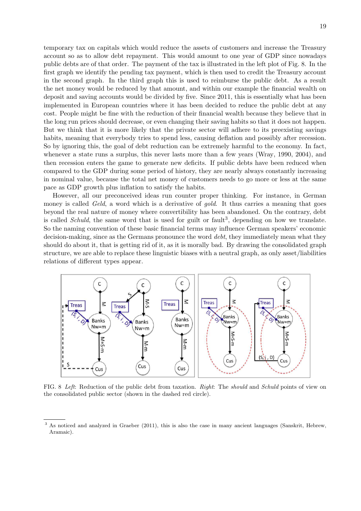temporary tax on capitals which would reduce the assets of customers and increase the Treasury account so as to allow debt repayment. This would amount to one year of GDP since nowadays public debts are of that order. The payment of the tax is illustrated in the left plot of Fig. 8. In the first graph we identify the pending tax payment, which is then used to credit the Treasury account in the second graph. In the third graph this is used to reimburse the public debt. As a result the net money would be reduced by that amount, and within our example the financial wealth on deposit and saving accounts would be divided by five. Since 2011, this is essentially what has been implemented in European countries where it has been decided to reduce the public debt at any cost. People might be fine with the reduction of their financial wealth because they believe that in the long run prices should decrease, or even changing their saving habits so that it does not happen. But we think that it is more likely that the private sector will adhere to its preexisting savings habits, meaning that everybody tries to spend less, causing deflation and possibly after recession. So by ignoring this, the goal of debt reduction can be extremely harmful to the economy. In fact, whenever a state runs a surplus, this never lasts more than a few years (Wray, 1990, 2004), and then recession enters the game to generate new deficits. If public debts have been reduced when compared to the GDP during some period of history, they are nearly always constantly increasing in nominal value, because the total net money of customers needs to go more or less at the same pace as GDP growth plus inflation to satisfy the habits.

However, all our preconceived ideas run counter proper thinking. For instance, in German money is called Geld, a word which is a derivative of *gold*. It thus carries a meaning that goes beyond the real nature of money where convertibility has been abandoned. On the contrary, debt is called *Schuld*, the same word that is used for guilt or fault<sup>3</sup>, depending on how we translate. So the naming convention of these basic financial terms may influence German speakers' economic decision-making, since as the Germans pronounce the word *debt*, they immediately mean what they should do about it, that is getting rid of it, as it is morally bad. By drawing the consolidated graph structure, we are able to replace these linguistic biases with a neutral graph, as only asset/liabilities relations of different types appear.



FIG. 8 Left: Reduction of the public debt from taxation. Right: The should and Schuld points of view on the consolidated public sector (shown in the dashed red circle).

<sup>&</sup>lt;sup>3</sup> As noticed and analyzed in Graeber (2011), this is also the case in many ancient languages (Sanskrit, Hebrew, Aramaic).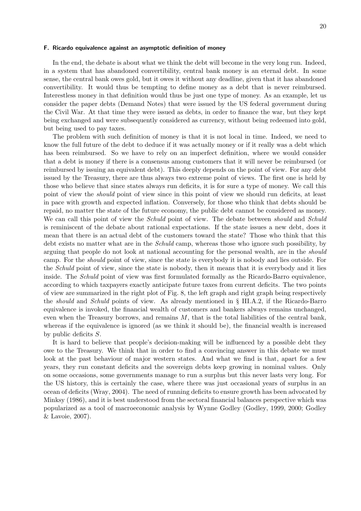#### F. Ricardo equivalence against an asymptotic definition of money

In the end, the debate is about what we think the debt will become in the very long run. Indeed, in a system that has abandoned convertibility, central bank money is an eternal debt. In some sense, the central bank owes gold, but it owes it without any deadline, given that it has abandoned convertibility. It would thus be tempting to define money as a debt that is never reimbursed. Interestless money in that definition would thus be just one type of money. As an example, let us consider the paper debts (Demand Notes) that were issued by the US federal government during the Civil War. At that time they were issued as debts, in order to finance the war, but they kept being exchanged and were subsequently considered as currency, without being redeemed into gold, but being used to pay taxes.

The problem with such definition of money is that it is not local in time. Indeed, we need to know the full future of the debt to deduce if it was actually money or if it really was a debt which has been reimbursed. So we have to rely on an imperfect definition, where we would consider that a debt is money if there is a consensus among customers that it will never be reimbursed (or reimbursed by issuing an equivalent debt). This deeply depends on the point of view. For any debt issued by the Treasury, there are thus always two extreme point of views. The first one is held by those who believe that since states always run deficits, it is for sure a type of money. We call this point of view the should point of view since in this point of view we should run deficits, at least in pace with growth and expected inflation. Conversely, for those who think that debts should be repaid, no matter the state of the future economy, the public debt cannot be considered as money. We can call this point of view the *Schuld* point of view. The debate between *should* and *Schuld* is reminiscent of the debate about rational expectations. If the state issues a new debt, does it mean that there is an actual debt of the customers toward the state? Those who think that this debt exists no matter what are in the *Schuld* camp, whereas those who ignore such possibility, by arguing that people do not look at national accounting for the personal wealth, are in the should camp. For the should point of view, since the state is everybody it is nobody and lies outside. For the Schuld point of view, since the state is nobody, then it means that it is everybody and it lies inside. The *Schuld* point of view was first formulated formally as the Ricardo-Barro equivalence, according to which taxpayers exactly anticipate future taxes from current deficits. The two points of view are summarized in the right plot of Fig. 8, the left graph and right graph being respectively the should and Schuld points of view. As already mentioned in § III.A.2, if the Ricardo-Barro equivalence is invoked, the financial wealth of customers and bankers always remains unchanged, even when the Treasury borrows, and remains  $M$ , that is the total liabilities of the central bank, whereas if the equivalence is ignored (as we think it should be), the financial wealth is increased by public deficits S.

It is hard to believe that people's decision-making will be influenced by a possible debt they owe to the Treasury. We think that in order to find a convincing answer in this debate we must look at the past behaviour of major western states. And what we find is that, apart for a few years, they run constant deficits and the sovereign debts keep growing in nominal values. Only on some occasions, some governments manage to run a surplus but this never lasts very long. For the US history, this is certainly the case, where there was just occasional years of surplus in an ocean of deficits (Wray, 2004). The need of running deficits to ensure growth has been advocated by Minksy (1986), and it is best understood from the sectoral financial balances perspective which was popularized as a tool of macroeconomic analysis by Wynne Godley (Godley, 1999, 2000; Godley & Lavoie, 2007).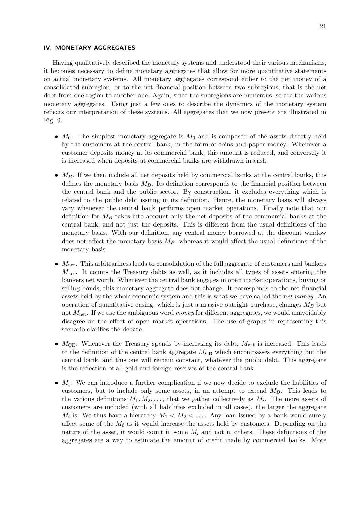# IV. MONETARY AGGREGATES

Having qualitatively described the monetary systems and understood their various mechanisms, it becomes necessary to define monetary aggregates that allow for more quantitative statements on actual monetary systems. All monetary aggregates correspond either to the net money of a consolidated subregion, or to the net financial position between two subregions, that is the net debt from one region to another one. Again, since the subregions are numerous, so are the various monetary aggregates. Using just a few ones to describe the dynamics of the monetary system reflects our interpretation of these systems. All aggregates that we now present are illustrated in Fig. 9.

- $M_0$ . The simplest monetary aggregate is  $M_0$  and is composed of the assets directly held by the customers at the central bank, in the form of coins and paper money. Whenever a customer deposits money at its commercial bank, this amount is reduced, and conversely it is increased when deposits at commercial banks are withdrawn in cash.
- $M_B$ . If we then include all net deposits held by commercial banks at the central banks, this defines the monetary basis  $M_B$ . Its definition corresponds to the financial position between the central bank and the public sector. By construction, it excludes everything which is related to the public debt issuing in its definition. Hence, the monetary basis will always vary whenever the central bank performs open market operations. Finally note that our definition for  $M_B$  takes into account only the net deposits of the commercial banks at the central bank, and not just the deposits. This is different from the usual definitions of the monetary basis. With our definition, any central money borrowed at the discount window does not affect the monetary basis  $M_B$ , whereas it would affect the usual definitions of the monetary basis.
- $M_{\text{net}}$ . This arbitrariness leads to consolidation of the full aggregate of customers and bankers  $M_{\text{net}}$ . It counts the Treasury debts as well, as it includes all types of assets entering the bankers net worth. Whenever the central bank engages in open market operations, buying or selling bonds, this monetary aggregate does not change. It corresponds to the net financial assets held by the whole economic system and this is what we have called the net money. An operation of quantitative easing, which is just a massive outright purchase, changes  $M_B$  but not  $M_{\text{net}}$ . If we use the ambiguous word *money* for different aggregates, we would unavoidably disagree on the effect of open market operations. The use of graphs in representing this scenario clarifies the debate.
- $M_{CB}$ . Whenever the Treasury spends by increasing its debt,  $M_{net}$  is increased. This leads to the definition of the central bank aggregate  $M_{\rm CB}$  which encompasses everything but the central bank, and this one will remain constant, whatever the public debt. This aggregate is the reflection of all gold and foreign reserves of the central bank.
- $M_i$ . We can introduce a further complication if we now decide to exclude the liabilities of customers, but to include only some assets, in an attempt to extend  $M_B$ . This leads to the various definitions  $M_1, M_2, \ldots$ , that we gather collectively as  $M_i$ . The more assets of customers are included (with all liabilities excluded in all cases), the larger the aggregate  $M_i$  is. We thus have a hierarchy  $M_1 \lt M_2 \lt \ldots$ . Any loan issued by a bank would surely affect some of the  $M_i$  as it would increase the assets held by customers. Depending on the nature of the asset, it would count in some  $M_i$  and not in others. These definitions of the aggregates are a way to estimate the amount of credit made by commercial banks. More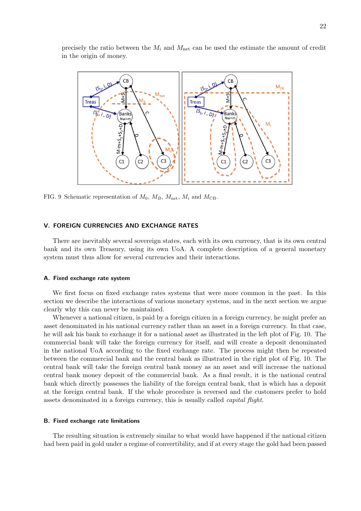precisely the ratio between the  $M_i$  and  $M_{\text{net}}$  can be used the estimate the amount of credit in the origin of money.



FIG. 9 Schematic representation of  $M_0$ ,  $M_B$ ,  $M_{\text{net}}$ ,  $M_i$  and  $M_{\text{CB}}$ .

### V. FOREIGN CURRENCIES AND EXCHANGE RATES

There are inevitably several sovereign states, each with its own currency, that is its own central bank and its own Treasury, using its own UoA. A complete description of a general monetary system must thus allow for several currencies and their interactions.

#### A. Fixed exchange rate system

We first focus on fixed exchange rates systems that were more common in the past. In this section we describe the interactions of various monetary systems, and in the next section we argue clearly why this can never be maintained.

Whenever a national citizen, is paid by a foreign citizen in a foreign currency, he might prefer an asset denominated in his national currency rather than an asset in a foreign currency. In that case, he will ask his bank to exchange it for a national asset as illustrated in the left plot of Fig. 10. The commercial bank will take the foreign currency for itself, and will create a deposit denominated in the national UoA according to the fixed exchange rate. The process might then be repeated between the commercial bank and the central bank as illustrated in the right plot of Fig. 10. The central bank will take the foreign central bank money as an asset and will increase the national central bank money deposit of the commercial bank. As a final result, it is the national central bank which directly possesses the liability of the foreign central bank, that is which has a deposit at the foreign central bank. If the whole procedure is reversed and the customers prefer to hold assets denominated in a foreign currency, this is usually called capital flight.

#### B. Fixed exchange rate limitations

The resulting situation is extremely similar to what would have happened if the national citizen had been paid in gold under a regime of convertibility, and if at every stage the gold had been passed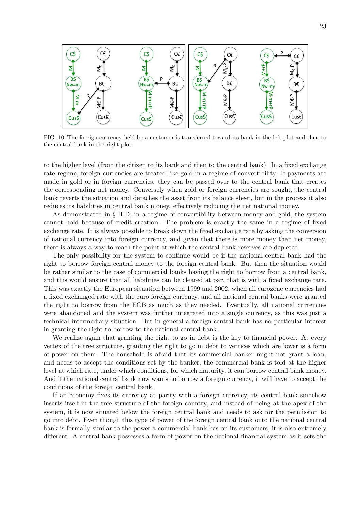

FIG. 10 The foreign currency held be a customer is transferred toward its bank in the left plot and then to the central bank in the right plot.

to the higher level (from the citizen to its bank and then to the central bank). In a fixed exchange rate regime, foreign currencies are treated like gold in a regime of convertibility. If payments are made in gold or in foreign currencies, they can be passed over to the central bank that creates the corresponding net money. Conversely when gold or foreign currencies are sought, the central bank reverts the situation and detaches the asset from its balance sheet, but in the process it also reduces its liabilities in central bank money, effectively reducing the net national money.

As demonstrated in § II.D, in a regime of convertibility between money and gold, the system cannot hold because of credit creation. The problem is exactly the same in a regime of fixed exchange rate. It is always possible to break down the fixed exchange rate by asking the conversion of national currency into foreign currency, and given that there is more money than net money, there is always a way to reach the point at which the central bank reserves are depleted.

The only possibility for the system to continue would be if the national central bank had the right to borrow foreign central money to the foreign central bank. But then the situation would be rather similar to the case of commercial banks having the right to borrow from a central bank, and this would ensure that all liabilities can be cleared at par, that is with a fixed exchange rate. This was exactly the European situation between 1999 and 2002, when all eurozone currencies had a fixed exchanged rate with the euro foreign currency, and all national central banks were granted the right to borrow from the ECB as much as they needed. Eventually, all national currencies were abandoned and the system was further integrated into a single currency, as this was just a technical intermediary situation. But in general a foreign central bank has no particular interest in granting the right to borrow to the national central bank.

We realize again that granting the right to go in debt is the key to financial power. At every vertex of the tree structure, granting the right to go in debt to vertices which are lower is a form of power on them. The household is afraid that its commercial banker might not grant a loan, and needs to accept the conditions set by the banker, the commercial bank is told at the higher level at which rate, under which conditions, for which maturity, it can borrow central bank money. And if the national central bank now wants to borrow a foreign currency, it will have to accept the conditions of the foreign central bank.

If an economy fixes its currency at parity with a foreign currency, its central bank somehow inserts itself in the tree structure of the foreign country, and instead of being at the apex of the system, it is now situated below the foreign central bank and needs to ask for the permission to go into debt. Even though this type of power of the foreign central bank onto the national central bank is formally similar to the power a commercial bank has on its customers, it is also extremely different. A central bank possesses a form of power on the national financial system as it sets the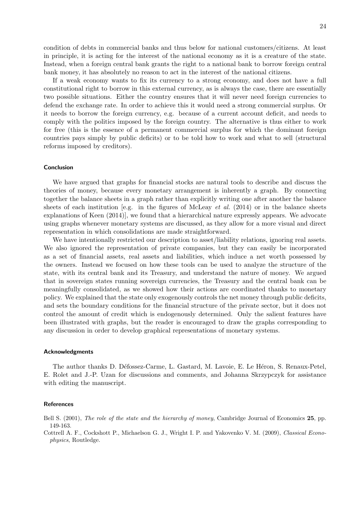condition of debts in commercial banks and thus below for national customers/citizens. At least in principle, it is acting for the interest of the national economy as it is a creature of the state. Instead, when a foreign central bank grants the right to a national bank to borrow foreign central bank money, it has absolutely no reason to act in the interest of the national citizens.

If a weak economy wants to fix its currency to a strong economy, and does not have a full constitutional right to borrow in this external currency, as is always the case, there are essentially two possible situations. Either the country ensures that it will never need foreign currencies to defend the exchange rate. In order to achieve this it would need a strong commercial surplus. Or it needs to borrow the foreign currency, e.g. because of a current account deficit, and needs to comply with the politics imposed by the foreign country. The alternative is thus either to work for free (this is the essence of a permanent commercial surplus for which the dominant foreign countries pays simply by public deficits) or to be told how to work and what to sell (structural reforms imposed by creditors).

# Conclusion

We have argued that graphs for financial stocks are natural tools to describe and discuss the theories of money, because every monetary arrangement is inherently a graph. By connecting together the balance sheets in a graph rather than explicitly writing one after another the balance sheets of each institution [e.g. in the figures of McLeay *et al.* (2014) or in the balance sheets explanations of Keen (2014)], we found that a hierarchical nature expressly appears. We advocate using graphs whenever monetary systems are discussed, as they allow for a more visual and direct representation in which consolidations are made straightforward.

We have intentionally restricted our description to asset/liability relations, ignoring real assets. We also ignored the representation of private companies, but they can easily be incorporated as a set of financial assets, real assets and liabilities, which induce a net worth possessed by the owners. Instead we focused on how these tools can be used to analyze the structure of the state, with its central bank and its Treasury, and understand the nature of money. We argued that in sovereign states running sovereign currencies, the Treasury and the central bank can be meaningfully consolidated, as we showed how their actions are coordinated thanks to monetary policy. We explained that the state only exogenously controls the net money through public deficits, and sets the boundary conditions for the financial structure of the private sector, but it does not control the amount of credit which is endogenously determined. Only the salient features have been illustrated with graphs, but the reader is encouraged to draw the graphs corresponding to any discussion in order to develop graphical representations of monetary systems.

#### Acknowledgments

The author thanks D. Défossez-Carme, L. Gastard, M. Lavoie, E. Le Héron, S. Renaux-Petel, E. Rolet and J.-P. Uzan for discussions and comments, and Johanna Skrzypczyk for assistance with editing the manuscript.

#### References

Bell S. (2001), The role of the state and the hierarchy of money, Cambridge Journal of Economics 25, pp. 149-163.

Cottrell A. F., Cockshott P., Michaelson G. J., Wright I. P. and Yakovenko V. M. (2009), Classical Econophysics, Routledge.